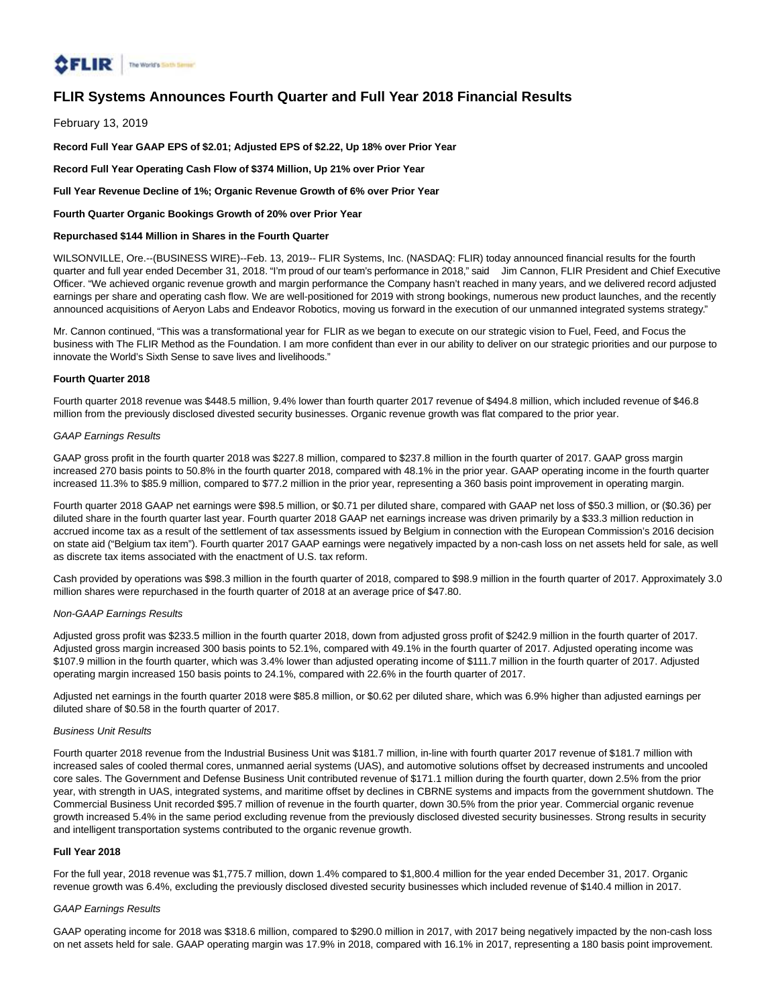

# **FLIR Systems Announces Fourth Quarter and Full Year 2018 Financial Results**

February 13, 2019

**Record Full Year GAAP EPS of \$2.01; Adjusted EPS of \$2.22, Up 18% over Prior Year**

**Record Full Year Operating Cash Flow of \$374 Million, Up 21% over Prior Year**

**Full Year Revenue Decline of 1%; Organic Revenue Growth of 6% over Prior Year**

**Fourth Quarter Organic Bookings Growth of 20% over Prior Year**

# **Repurchased \$144 Million in Shares in the Fourth Quarter**

WILSONVILLE, Ore.--(BUSINESS WIRE)--Feb. 13, 2019-- FLIR Systems, Inc. (NASDAQ: FLIR) today announced financial results for the fourth quarter and full year ended December 31, 2018. "I'm proud of our team's performance in 2018," said Jim Cannon, FLIR President and Chief Executive Officer. "We achieved organic revenue growth and margin performance the Company hasn't reached in many years, and we delivered record adjusted earnings per share and operating cash flow. We are well-positioned for 2019 with strong bookings, numerous new product launches, and the recently announced acquisitions of Aeryon Labs and Endeavor Robotics, moving us forward in the execution of our unmanned integrated systems strategy."

Mr. Cannon continued, "This was a transformational year for FLIR as we began to execute on our strategic vision to Fuel, Feed, and Focus the business with The FLIR Method as the Foundation. I am more confident than ever in our ability to deliver on our strategic priorities and our purpose to innovate the World's Sixth Sense to save lives and livelihoods."

## **Fourth Quarter 2018**

Fourth quarter 2018 revenue was \$448.5 million, 9.4% lower than fourth quarter 2017 revenue of \$494.8 million, which included revenue of \$46.8 million from the previously disclosed divested security businesses. Organic revenue growth was flat compared to the prior year.

## GAAP Earnings Results

GAAP gross profit in the fourth quarter 2018 was \$227.8 million, compared to \$237.8 million in the fourth quarter of 2017. GAAP gross margin increased 270 basis points to 50.8% in the fourth quarter 2018, compared with 48.1% in the prior year. GAAP operating income in the fourth quarter increased 11.3% to \$85.9 million, compared to \$77.2 million in the prior year, representing a 360 basis point improvement in operating margin.

Fourth quarter 2018 GAAP net earnings were \$98.5 million, or \$0.71 per diluted share, compared with GAAP net loss of \$50.3 million, or (\$0.36) per diluted share in the fourth quarter last year. Fourth quarter 2018 GAAP net earnings increase was driven primarily by a \$33.3 million reduction in accrued income tax as a result of the settlement of tax assessments issued by Belgium in connection with the European Commission's 2016 decision on state aid ("Belgium tax item"). Fourth quarter 2017 GAAP earnings were negatively impacted by a non-cash loss on net assets held for sale, as well as discrete tax items associated with the enactment of U.S. tax reform.

Cash provided by operations was \$98.3 million in the fourth quarter of 2018, compared to \$98.9 million in the fourth quarter of 2017. Approximately 3.0 million shares were repurchased in the fourth quarter of 2018 at an average price of \$47.80.

#### Non-GAAP Earnings Results

Adjusted gross profit was \$233.5 million in the fourth quarter 2018, down from adjusted gross profit of \$242.9 million in the fourth quarter of 2017. Adjusted gross margin increased 300 basis points to 52.1%, compared with 49.1% in the fourth quarter of 2017. Adjusted operating income was \$107.9 million in the fourth quarter, which was 3.4% lower than adjusted operating income of \$111.7 million in the fourth quarter of 2017. Adjusted operating margin increased 150 basis points to 24.1%, compared with 22.6% in the fourth quarter of 2017.

Adjusted net earnings in the fourth quarter 2018 were \$85.8 million, or \$0.62 per diluted share, which was 6.9% higher than adjusted earnings per diluted share of \$0.58 in the fourth quarter of 2017.

#### Business Unit Results

Fourth quarter 2018 revenue from the Industrial Business Unit was \$181.7 million, in-line with fourth quarter 2017 revenue of \$181.7 million with increased sales of cooled thermal cores, unmanned aerial systems (UAS), and automotive solutions offset by decreased instruments and uncooled core sales. The Government and Defense Business Unit contributed revenue of \$171.1 million during the fourth quarter, down 2.5% from the prior year, with strength in UAS, integrated systems, and maritime offset by declines in CBRNE systems and impacts from the government shutdown. The Commercial Business Unit recorded \$95.7 million of revenue in the fourth quarter, down 30.5% from the prior year. Commercial organic revenue growth increased 5.4% in the same period excluding revenue from the previously disclosed divested security businesses. Strong results in security and intelligent transportation systems contributed to the organic revenue growth.

## **Full Year 2018**

For the full year, 2018 revenue was \$1,775.7 million, down 1.4% compared to \$1,800.4 million for the year ended December 31, 2017. Organic revenue growth was 6.4%, excluding the previously disclosed divested security businesses which included revenue of \$140.4 million in 2017.

### GAAP Earnings Results

GAAP operating income for 2018 was \$318.6 million, compared to \$290.0 million in 2017, with 2017 being negatively impacted by the non-cash loss on net assets held for sale. GAAP operating margin was 17.9% in 2018, compared with 16.1% in 2017, representing a 180 basis point improvement.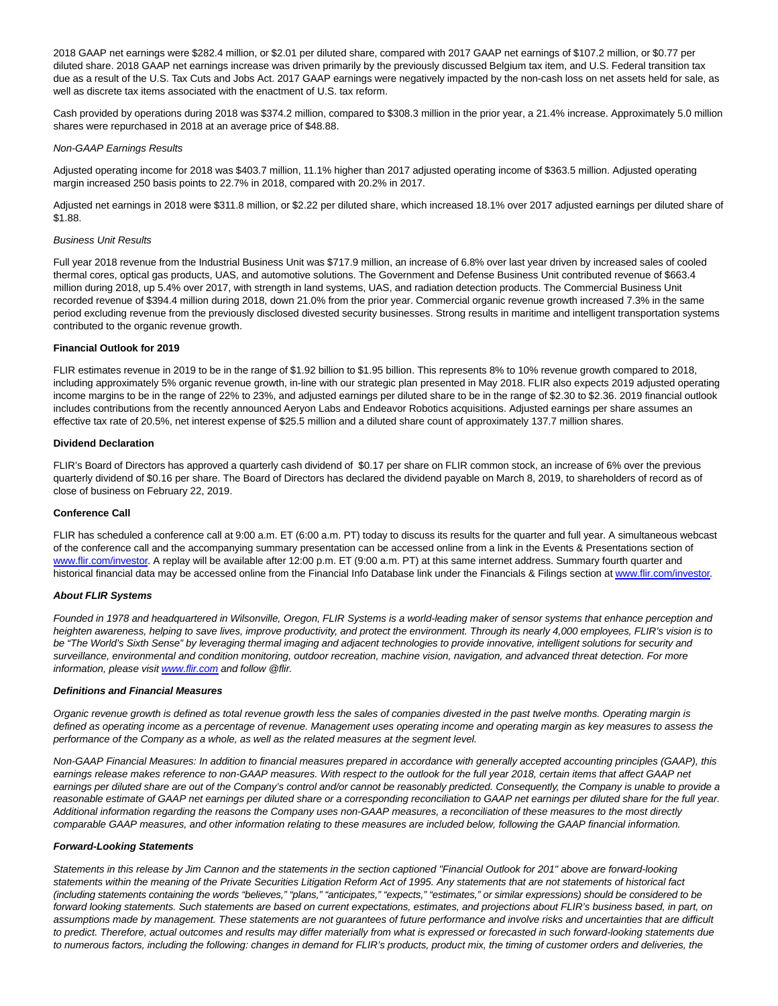2018 GAAP net earnings were \$282.4 million, or \$2.01 per diluted share, compared with 2017 GAAP net earnings of \$107.2 million, or \$0.77 per diluted share. 2018 GAAP net earnings increase was driven primarily by the previously discussed Belgium tax item, and U.S. Federal transition tax due as a result of the U.S. Tax Cuts and Jobs Act. 2017 GAAP earnings were negatively impacted by the non-cash loss on net assets held for sale, as well as discrete tax items associated with the enactment of U.S. tax reform.

Cash provided by operations during 2018 was \$374.2 million, compared to \$308.3 million in the prior year, a 21.4% increase. Approximately 5.0 million shares were repurchased in 2018 at an average price of \$48.88.

### Non-GAAP Earnings Results

Adjusted operating income for 2018 was \$403.7 million, 11.1% higher than 2017 adjusted operating income of \$363.5 million. Adjusted operating margin increased 250 basis points to 22.7% in 2018, compared with 20.2% in 2017.

Adjusted net earnings in 2018 were \$311.8 million, or \$2.22 per diluted share, which increased 18.1% over 2017 adjusted earnings per diluted share of \$1.88.

### Business Unit Results

Full year 2018 revenue from the Industrial Business Unit was \$717.9 million, an increase of 6.8% over last year driven by increased sales of cooled thermal cores, optical gas products, UAS, and automotive solutions. The Government and Defense Business Unit contributed revenue of \$663.4 million during 2018, up 5.4% over 2017, with strength in land systems, UAS, and radiation detection products. The Commercial Business Unit recorded revenue of \$394.4 million during 2018, down 21.0% from the prior year. Commercial organic revenue growth increased 7.3% in the same period excluding revenue from the previously disclosed divested security businesses. Strong results in maritime and intelligent transportation systems contributed to the organic revenue growth.

#### **Financial Outlook for 2019**

FLIR estimates revenue in 2019 to be in the range of \$1.92 billion to \$1.95 billion. This represents 8% to 10% revenue growth compared to 2018, including approximately 5% organic revenue growth, in-line with our strategic plan presented in May 2018. FLIR also expects 2019 adjusted operating income margins to be in the range of 22% to 23%, and adjusted earnings per diluted share to be in the range of \$2.30 to \$2.36. 2019 financial outlook includes contributions from the recently announced Aeryon Labs and Endeavor Robotics acquisitions. Adjusted earnings per share assumes an effective tax rate of 20.5%, net interest expense of \$25.5 million and a diluted share count of approximately 137.7 million shares.

#### **Dividend Declaration**

FLIR's Board of Directors has approved a quarterly cash dividend of \$0.17 per share on FLIR common stock, an increase of 6% over the previous quarterly dividend of \$0.16 per share. The Board of Directors has declared the dividend payable on March 8, 2019, to shareholders of record as of close of business on February 22, 2019.

#### **Conference Call**

FLIR has scheduled a conference call at 9:00 a.m. ET (6:00 a.m. PT) today to discuss its results for the quarter and full year. A simultaneous webcast of the conference call and the accompanying summary presentation can be accessed online from a link in the Events & Presentations section of [www.flir.com/investor.](https://cts.businesswire.com/ct/CT?id=smartlink&url=http%3A%2F%2Fwww.flir.com%2Finvestor&esheet=51939957&newsitemid=20190213005215&lan=en-US&anchor=www.flir.com%2Finvestor&index=1&md5=505e53d2ab0104f6143f454d7a995300) A replay will be available after 12:00 p.m. ET (9:00 a.m. PT) at this same internet address. Summary fourth quarter and historical financial data may be accessed online from the Financial Info Database link under the Financials & Filings section a[t www.flir.com/investor.](https://cts.businesswire.com/ct/CT?id=smartlink&url=http%3A%2F%2Fwww.flir.com%2Finvestor&esheet=51939957&newsitemid=20190213005215&lan=en-US&anchor=www.flir.com%2Finvestor&index=2&md5=e6176f6d81ae1841677af90aeaebce7b)

## **About FLIR Systems**

Founded in 1978 and headquartered in Wilsonville, Oregon, FLIR Systems is a world-leading maker of sensor systems that enhance perception and heighten awareness, helping to save lives, improve productivity, and protect the environment. Through its nearly 4,000 employees, FLIR's vision is to be "The World's Sixth Sense" by leveraging thermal imaging and adjacent technologies to provide innovative, intelligent solutions for security and surveillance, environmental and condition monitoring, outdoor recreation, machine vision, navigation, and advanced threat detection. For more information, please visi[t www.flir.com a](http://www.flir.com/)nd follow @flir.

## **Definitions and Financial Measures**

Organic revenue growth is defined as total revenue growth less the sales of companies divested in the past twelve months. Operating margin is defined as operating income as a percentage of revenue. Management uses operating income and operating margin as key measures to assess the performance of the Company as a whole, as well as the related measures at the segment level.

Non-GAAP Financial Measures: In addition to financial measures prepared in accordance with generally accepted accounting principles (GAAP), this earnings release makes reference to non-GAAP measures. With respect to the outlook for the full year 2018, certain items that affect GAAP net earnings per diluted share are out of the Company's control and/or cannot be reasonably predicted. Consequently, the Company is unable to provide a reasonable estimate of GAAP net earnings per diluted share or a corresponding reconciliation to GAAP net earnings per diluted share for the full year. Additional information regarding the reasons the Company uses non-GAAP measures, a reconciliation of these measures to the most directly comparable GAAP measures, and other information relating to these measures are included below, following the GAAP financial information.

#### **Forward-Looking Statements**

Statements in this release by Jim Cannon and the statements in the section captioned "Financial Outlook for 201" above are forward-looking statements within the meaning of the Private Securities Litigation Reform Act of 1995. Any statements that are not statements of historical fact (including statements containing the words "believes," "plans," "anticipates," "expects," "estimates," or similar expressions) should be considered to be forward looking statements. Such statements are based on current expectations, estimates, and projections about FLIR's business based, in part, on assumptions made by management. These statements are not guarantees of future performance and involve risks and uncertainties that are difficult to predict. Therefore, actual outcomes and results may differ materially from what is expressed or forecasted in such forward-looking statements due to numerous factors, including the following: changes in demand for FLIR's products, product mix, the timing of customer orders and deliveries, the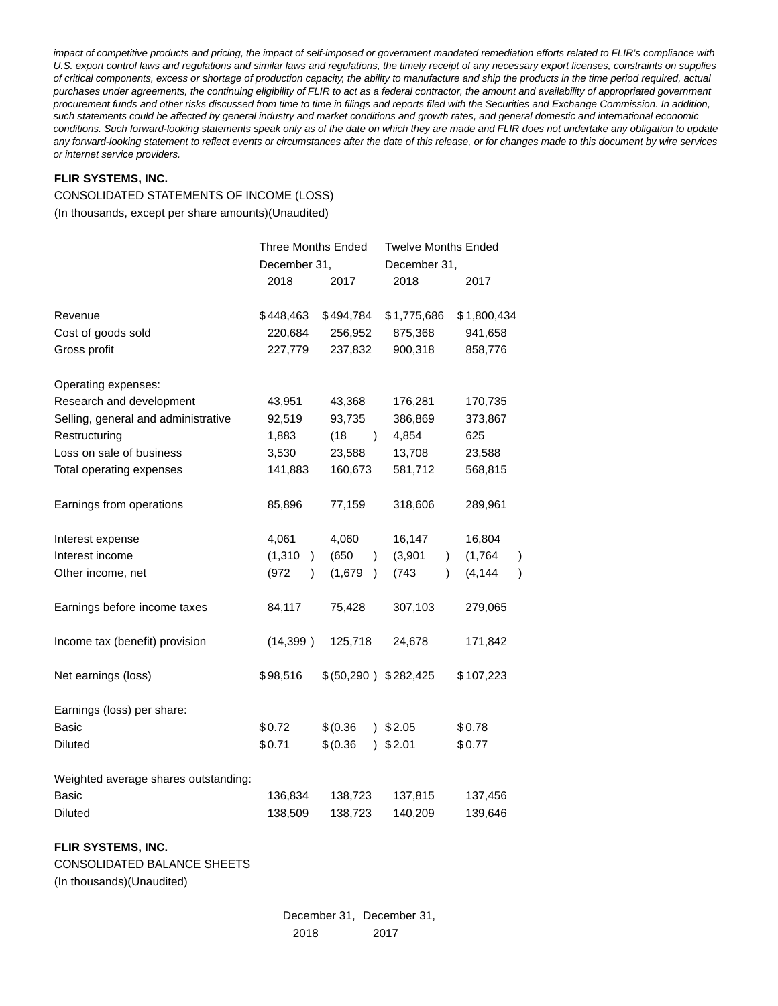impact of competitive products and pricing, the impact of self-imposed or government mandated remediation efforts related to FLIR's compliance with U.S. export control laws and regulations and similar laws and regulations, the timely receipt of any necessary export licenses, constraints on supplies of critical components, excess or shortage of production capacity, the ability to manufacture and ship the products in the time period required, actual purchases under agreements, the continuing eligibility of FLIR to act as a federal contractor, the amount and availability of appropriated government procurement funds and other risks discussed from time to time in filings and reports filed with the Securities and Exchange Commission. In addition, such statements could be affected by general industry and market conditions and growth rates, and general domestic and international economic conditions. Such forward-looking statements speak only as of the date on which they are made and FLIR does not undertake any obligation to update any forward-looking statement to reflect events or circumstances after the date of this release, or for changes made to this document by wire services or internet service providers.

# **FLIR SYSTEMS, INC.**

# CONSOLIDATED STATEMENTS OF INCOME (LOSS)

(In thousands, except per share amounts)(Unaudited)

|                                      | <b>Three Months Ended</b>    |                        | <b>Twelve Months Ended</b> |                               |  |  |  |
|--------------------------------------|------------------------------|------------------------|----------------------------|-------------------------------|--|--|--|
|                                      | December 31,                 |                        | December 31,               |                               |  |  |  |
|                                      | 2018                         | 2017                   | 2018                       | 2017                          |  |  |  |
| Revenue                              | \$448,463                    | \$494,784              | \$1,775,686                | \$1,800,434                   |  |  |  |
| Cost of goods sold                   | 220,684                      | 256,952                | 875,368                    | 941,658                       |  |  |  |
| Gross profit                         | 227,779                      | 237,832                | 900,318                    | 858,776                       |  |  |  |
| Operating expenses:                  |                              |                        |                            |                               |  |  |  |
| Research and development             | 43,951                       | 43,368                 | 176,281                    | 170,735                       |  |  |  |
| Selling, general and administrative  | 92,519                       | 93,735                 | 386,869                    | 373,867                       |  |  |  |
| Restructuring                        | 1,883                        | (18)<br>$\lambda$      | 4,854                      | 625                           |  |  |  |
| Loss on sale of business             | 3,530                        | 23,588                 | 13,708                     | 23,588                        |  |  |  |
| Total operating expenses             | 141,883                      | 160,673                | 581,712                    | 568,815                       |  |  |  |
| Earnings from operations             | 85,896                       | 77,159                 | 318,606                    | 289,961                       |  |  |  |
| Interest expense                     | 4,061                        | 4,060                  | 16,147                     | 16,804                        |  |  |  |
| Interest income                      | (1, 310)<br>$\left( \right)$ | (650)<br>$\lambda$     | (3,901)                    | (1,764)<br>)<br>$\mathcal{L}$ |  |  |  |
| Other income, net                    | (972)<br>$\lambda$           | (1,679)<br>$\lambda$   | (743)                      | (4, 144)<br>)<br>$\lambda$    |  |  |  |
| Earnings before income taxes         | 84,117                       | 75,428                 | 307,103                    | 279,065                       |  |  |  |
| Income tax (benefit) provision       | (14, 399)                    | 125,718                | 24,678                     | 171,842                       |  |  |  |
| Net earnings (loss)                  | \$98,516                     | \$ (50,290 ) \$282,425 |                            | \$107,223                     |  |  |  |
| Earnings (loss) per share:           |                              |                        |                            |                               |  |  |  |
| Basic                                | \$0.72                       | \$ (0.36)              | 32.05                      | \$0.78                        |  |  |  |
| Diluted                              | \$0.71                       | \$ (0.36)              | 32.01                      | \$0.77                        |  |  |  |
| Weighted average shares outstanding: |                              |                        |                            |                               |  |  |  |
| <b>Basic</b>                         | 136,834                      | 138,723                | 137,815                    | 137,456                       |  |  |  |
| <b>Diluted</b>                       | 138,509                      | 138,723                | 140,209                    | 139,646                       |  |  |  |

# **FLIR SYSTEMS, INC.**

CONSOLIDATED BALANCE SHEETS (In thousands)(Unaudited)

> December 31, December 31, 2018 2017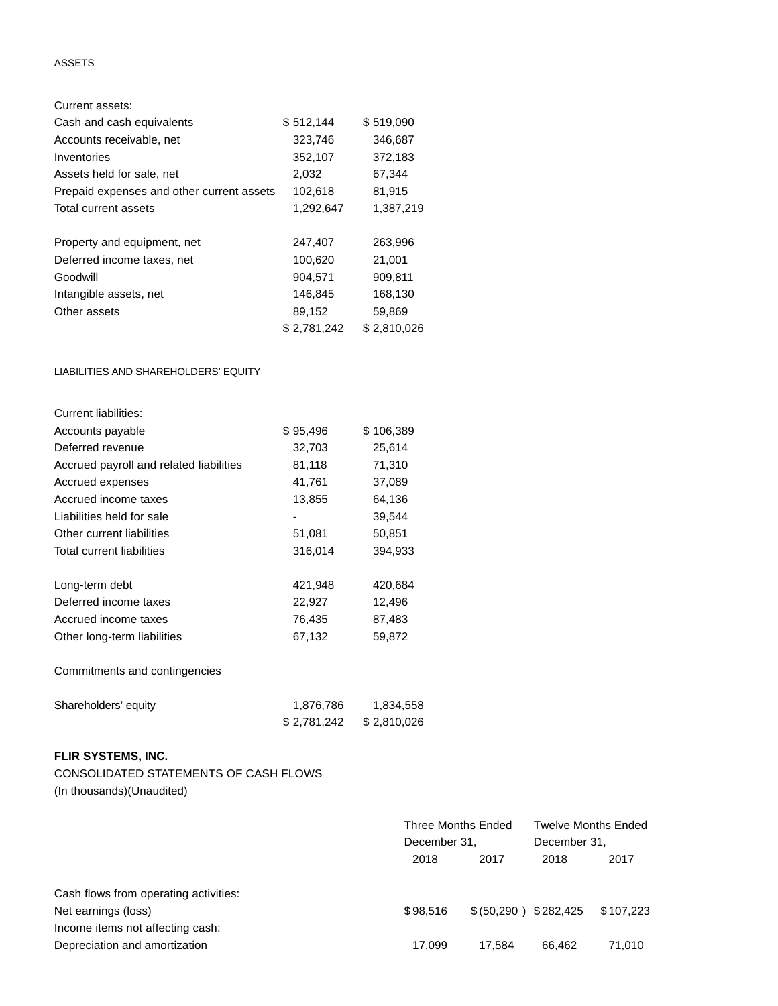# ASSETS

| Current assets:                           |             |             |
|-------------------------------------------|-------------|-------------|
| Cash and cash equivalents                 | \$512,144   | \$519,090   |
| Accounts receivable, net                  | 323,746     | 346,687     |
| Inventories                               | 352,107     | 372,183     |
| Assets held for sale, net                 | 2,032       | 67,344      |
| Prepaid expenses and other current assets | 102,618     | 81,915      |
| Total current assets                      | 1,292,647   | 1,387,219   |
|                                           |             |             |
| Property and equipment, net               | 247,407     | 263,996     |
| Deferred income taxes, net                | 100,620     | 21,001      |
| Goodwill                                  | 904,571     | 909,811     |
| Intangible assets, net                    | 146,845     | 168,130     |
| Other assets                              | 89,152      | 59,869      |
|                                           | \$2,781,242 | \$2,810,026 |

LIABILITIES AND SHAREHOLDERS' EQUITY

| Current liabilities:                    |          |           |
|-----------------------------------------|----------|-----------|
| Accounts payable                        | \$95,496 | \$106,389 |
| Deferred revenue                        | 32,703   | 25,614    |
| Accrued payroll and related liabilities | 81,118   | 71,310    |
| Accrued expenses                        | 41,761   | 37,089    |
| Accrued income taxes                    | 13,855   | 64,136    |
| Liabilities held for sale               | ۰        | 39,544    |
| Other current liabilities               | 51,081   | 50,851    |
| Total current liabilities               | 316,014  | 394,933   |
| Long-term debt                          | 421,948  | 420,684   |
| Deferred income taxes                   | 22,927   | 12,496    |
| Accrued income taxes                    | 76,435   | 87,483    |
| Other long-term liabilities             | 67,132   | 59,872    |

Commitments and contingencies

| Shareholders' equity | 1,876,786    | 1,834,558   |
|----------------------|--------------|-------------|
|                      | \$ 2,781,242 | \$2,810,026 |

# **FLIR SYSTEMS, INC.**

CONSOLIDATED STATEMENTS OF CASH FLOWS (In thousands)(Unaudited)

|                                       | Three Months Ended<br>December 31, |                        | Twelve Months Ended<br>December 31, |           |  |
|---------------------------------------|------------------------------------|------------------------|-------------------------------------|-----------|--|
|                                       | 2018<br>2017                       |                        | 2018                                | 2017      |  |
| Cash flows from operating activities: |                                    |                        |                                     |           |  |
| Net earnings (loss)                   | \$98.516                           | \$ (50,290 ) \$282,425 |                                     | \$107,223 |  |
| Income items not affecting cash:      |                                    |                        |                                     |           |  |
| Depreciation and amortization         | 17.099                             | 17.584                 | 66.462                              | 71,010    |  |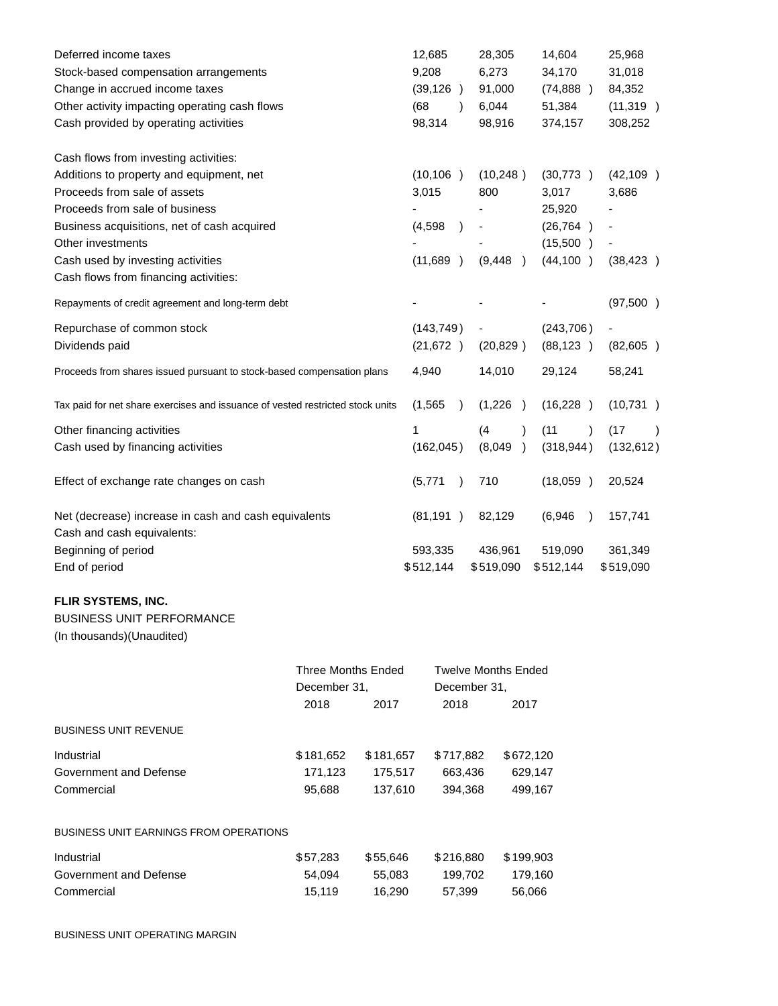| Deferred income taxes                                                          | 12,685                | 28,305                    | 14,604            | 25,968     |
|--------------------------------------------------------------------------------|-----------------------|---------------------------|-------------------|------------|
| Stock-based compensation arrangements                                          | 9,208                 | 6,273                     | 34,170            | 31,018     |
| Change in accrued income taxes                                                 | (39, 126)             | 91,000                    | (74,888)          | 84,352     |
| Other activity impacting operating cash flows                                  | (68)<br>$\lambda$     | 6,044                     | 51,384            | (11, 319)  |
| Cash provided by operating activities                                          | 98,314                | 98,916                    | 374,157           | 308,252    |
| Cash flows from investing activities:                                          |                       |                           |                   |            |
| Additions to property and equipment, net                                       | (10, 106)             | (10,248)                  | (30,773)          | (42, 109)  |
| Proceeds from sale of assets                                                   | 3,015                 | 800                       | 3,017             | 3,686      |
| Proceeds from sale of business                                                 |                       |                           | 25,920            |            |
| Business acquisitions, net of cash acquired                                    | (4, 598)              |                           | (26, 764)         |            |
| Other investments                                                              |                       |                           | (15,500)          |            |
| Cash used by investing activities                                              | (11,689)<br>$\lambda$ | (9, 448)<br>$\rightarrow$ | (44, 100)         | (38, 423)  |
| Cash flows from financing activities:                                          |                       |                           |                   |            |
| Repayments of credit agreement and long-term debt                              |                       |                           |                   | (97,500)   |
| Repurchase of common stock                                                     | (143, 749)            |                           | (243, 706)        |            |
| Dividends paid                                                                 | (21, 672)             | (20, 829)                 | (88, 123)         | (82, 605)  |
| Proceeds from shares issued pursuant to stock-based compensation plans         | 4,940                 | 14,010                    | 29,124            | 58,241     |
| Tax paid for net share exercises and issuance of vested restricted stock units | (1, 565)<br>$\lambda$ | (1,226)<br>$\rightarrow$  | (16,228)          | (10, 731)  |
| Other financing activities                                                     | 1                     | (4)                       | (11)<br>$\lambda$ | (17)       |
| Cash used by financing activities                                              | (162, 045)            | (8,049)<br>$\rightarrow$  | (318, 944)        | (132, 612) |
| Effect of exchange rate changes on cash                                        | (5,771)               | 710                       | (18,059)          | 20,524     |
| Net (decrease) increase in cash and cash equivalents                           | (81, 191)             | 82,129                    | (6,946)           | 157,741    |
| Cash and cash equivalents:                                                     |                       |                           |                   |            |
| Beginning of period                                                            | 593,335               | 436,961                   | 519,090           | 361,349    |
| End of period                                                                  | \$512,144             | \$519,090                 | \$512,144         | \$519,090  |

# **FLIR SYSTEMS, INC.**

# BUSINESS UNIT PERFORMANCE

(In thousands)(Unaudited)

|                                        | <b>Three Months Ended</b><br>December 31. |           | <b>Twelve Months Ended</b>                                                                                                                                                                                                                                                                                                                                                                                             |           |  |
|----------------------------------------|-------------------------------------------|-----------|------------------------------------------------------------------------------------------------------------------------------------------------------------------------------------------------------------------------------------------------------------------------------------------------------------------------------------------------------------------------------------------------------------------------|-----------|--|
|                                        |                                           |           | December 31.                                                                                                                                                                                                                                                                                                                                                                                                           |           |  |
|                                        | 2018                                      | 2017      | 2018                                                                                                                                                                                                                                                                                                                                                                                                                   | 2017      |  |
| <b>BUSINESS UNIT REVENUE</b>           |                                           |           |                                                                                                                                                                                                                                                                                                                                                                                                                        |           |  |
| Industrial                             | \$181,652                                 | \$181,657 | \$717,882                                                                                                                                                                                                                                                                                                                                                                                                              | \$672,120 |  |
| Government and Defense                 | 171,123                                   | 175,517   | 663,436                                                                                                                                                                                                                                                                                                                                                                                                                | 629,147   |  |
| Commercial                             | 95,688                                    | 137,610   | 394.368                                                                                                                                                                                                                                                                                                                                                                                                                | 499,167   |  |
| BUSINESS UNIT EARNINGS FROM OPERATIONS |                                           |           |                                                                                                                                                                                                                                                                                                                                                                                                                        |           |  |
| .                                      | $\wedge$ $\equiv$ $\sim$ $\sim$           |           | $\mathbf{A} \mathbf{A} \mathbf{A} \mathbf{A} \mathbf{A} \mathbf{A} \mathbf{A} \mathbf{A} \mathbf{A} \mathbf{A} \mathbf{A} \mathbf{A} \mathbf{A} \mathbf{A} \mathbf{A} \mathbf{A} \mathbf{A} \mathbf{A} \mathbf{A} \mathbf{A} \mathbf{A} \mathbf{A} \mathbf{A} \mathbf{A} \mathbf{A} \mathbf{A} \mathbf{A} \mathbf{A} \mathbf{A} \mathbf{A} \mathbf{A} \mathbf{A} \mathbf{A} \mathbf{A} \mathbf{A} \mathbf{A} \mathbf{$ |           |  |

| Industrial             | \$57.283 | \$55.646 | \$216.880 | \$199.903 |
|------------------------|----------|----------|-----------|-----------|
| Government and Defense | 54.094   | 55.083   | 199.702   | 179.160   |
| Commercial             | 15.119   | 16.290   | 57.399    | 56.066    |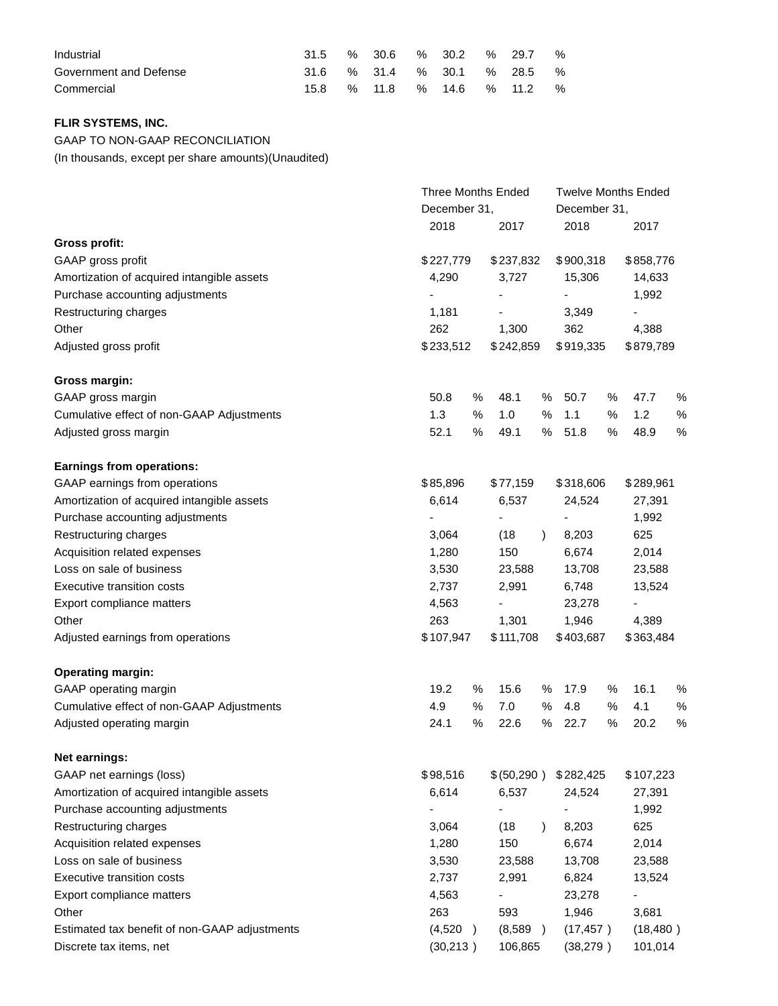| Industrial             |      |        |  | % 30.6 % 30.2 % 29.7 %      |  |
|------------------------|------|--------|--|-----------------------------|--|
| Government and Defense |      |        |  | 31.6 % 31.4 % 30.1 % 28.5 % |  |
| Commercial             | 15.8 | % 11.8 |  | % 14.6 % 11.2 %             |  |

# **FLIR SYSTEMS, INC.**

GAAP TO NON-GAAP RECONCILIATION

(In thousands, except per share amounts)(Unaudited)

|                                               |                              | <b>Three Months Ended</b> |           |                          |        | <b>Twelve Months Ended</b> |      |  |  |
|-----------------------------------------------|------------------------------|---------------------------|-----------|--------------------------|--------|----------------------------|------|--|--|
|                                               |                              | December 31,              |           | December 31,             |        |                            |      |  |  |
|                                               | 2018                         | 2017                      |           | 2018                     |        | 2017                       |      |  |  |
| <b>Gross profit:</b>                          |                              |                           |           |                          |        |                            |      |  |  |
| GAAP gross profit                             | \$227,779                    | \$237,832                 |           | \$900,318                |        | \$858,776                  |      |  |  |
| Amortization of acquired intangible assets    | 4,290                        | 3,727                     |           | 15,306                   |        | 14,633                     |      |  |  |
| Purchase accounting adjustments               |                              | $\overline{\phantom{a}}$  |           |                          |        | 1,992                      |      |  |  |
| Restructuring charges                         | 1,181                        |                           |           | 3,349                    |        |                            |      |  |  |
| Other                                         | 262                          | 1,300                     |           | 362                      |        | 4,388                      |      |  |  |
| Adjusted gross profit                         | \$233,512                    | \$242,859                 |           | \$919,335                |        | \$879,789                  |      |  |  |
| Gross margin:                                 |                              |                           |           |                          |        |                            |      |  |  |
| GAAP gross margin                             | 50.8                         | %<br>48.1                 | %         | 50.7                     | %      | 47.7                       | %    |  |  |
| Cumulative effect of non-GAAP Adjustments     | 1.3                          | %<br>1.0                  | %         | 1.1                      | %      | 1.2                        | %    |  |  |
| Adjusted gross margin                         | 52.1                         | %<br>49.1                 | %         | 51.8                     | %      | 48.9                       | $\%$ |  |  |
| <b>Earnings from operations:</b>              |                              |                           |           |                          |        |                            |      |  |  |
| GAAP earnings from operations                 | \$85,896                     | \$77,159                  |           | \$318,606                |        | \$289,961                  |      |  |  |
| Amortization of acquired intangible assets    | 6,614                        | 6,537                     |           | 24,524                   |        | 27,391                     |      |  |  |
| Purchase accounting adjustments               |                              |                           |           |                          |        | 1,992                      |      |  |  |
| Restructuring charges                         | 3,064                        | (18)                      | $\lambda$ | 8,203                    |        | 625                        |      |  |  |
| Acquisition related expenses                  | 1,280                        | 150                       |           | 6,674                    |        | 2,014                      |      |  |  |
| Loss on sale of business                      | 3,530                        | 23,588<br>13,708          |           |                          | 23,588 |                            |      |  |  |
| Executive transition costs                    | 2,737                        | 2,991                     | 6,748     |                          |        | 13,524                     |      |  |  |
| Export compliance matters                     | 4,563                        |                           |           | 23,278                   |        | $\overline{\phantom{a}}$   |      |  |  |
| Other                                         | 263                          | 1,301                     |           | 1,946                    |        | 4,389                      |      |  |  |
| Adjusted earnings from operations             | \$107,947                    | \$111,708                 |           | \$403,687                |        | \$363,484                  |      |  |  |
| <b>Operating margin:</b>                      |                              |                           |           |                          |        |                            |      |  |  |
| GAAP operating margin                         | 19.2                         | 15.6<br>%                 | %         | 17.9                     | %      | 16.1                       | %    |  |  |
| Cumulative effect of non-GAAP Adjustments     | 4.9                          | %<br>7.0                  | %         | 4.8                      | %      | 4.1                        | $\%$ |  |  |
| Adjusted operating margin                     | 24.1                         | $\%$<br>22.6              | %         | 22.7                     | $\%$   | 20.2                       | $\%$ |  |  |
| Net earnings:                                 |                              |                           |           |                          |        |                            |      |  |  |
| GAAP net earnings (loss)                      | \$98,516                     | \$(50,290)                |           | \$282,425                |        | \$107,223                  |      |  |  |
| Amortization of acquired intangible assets    | 6,614                        | 6,537                     |           | 24,524                   |        | 27,391                     |      |  |  |
| Purchase accounting adjustments               | $\qquad \qquad \blacksquare$ | -                         |           | $\overline{\phantom{a}}$ |        | 1,992                      |      |  |  |
| Restructuring charges                         | 3,064                        | (18)                      |           | 8,203                    |        | 625                        |      |  |  |
| Acquisition related expenses                  | 1,280                        | 150                       |           | 6,674                    |        | 2,014                      |      |  |  |
| Loss on sale of business                      | 3,530                        | 23,588                    |           | 13,708                   |        | 23,588                     |      |  |  |
| Executive transition costs                    | 2,737                        | 2,991                     | 6,824     |                          |        | 13,524                     |      |  |  |
| Export compliance matters                     | 4,563                        |                           |           | 23,278                   |        |                            |      |  |  |
| Other                                         | 263                          | 593                       |           | 1,946                    |        | 3,681                      |      |  |  |
| Estimated tax benefit of non-GAAP adjustments | (4,520)<br>$\rightarrow$     | (8,589)                   |           | (17, 457)                |        | (18, 480)                  |      |  |  |
| Discrete tax items, net                       | (30, 213)                    | 106,865                   |           | (38, 279)                |        | 101,014                    |      |  |  |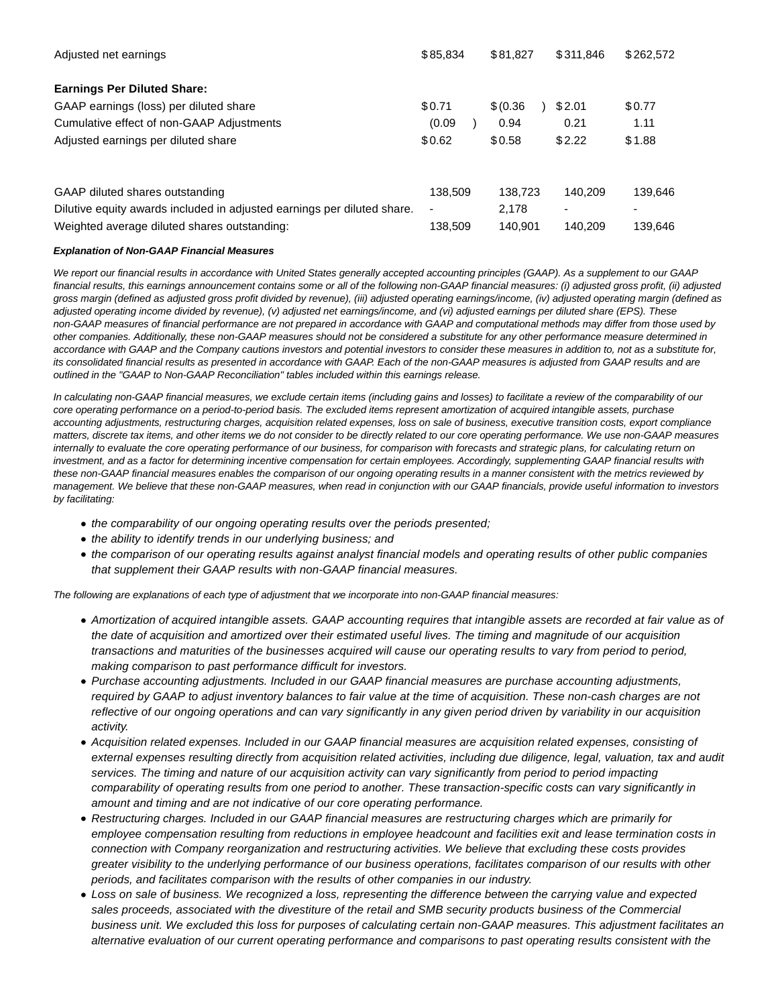| Adjusted net earnings                                                   | \$85,834 | \$81.827  | \$311.846 | \$262,572 |
|-------------------------------------------------------------------------|----------|-----------|-----------|-----------|
| <b>Earnings Per Diluted Share:</b>                                      |          |           |           |           |
| GAAP earnings (loss) per diluted share                                  | \$0.71   | \$ (0.36) | \$2.01    | \$0.77    |
| Cumulative effect of non-GAAP Adjustments                               | (0.09)   | 0.94      | 0.21      | 1.11      |
| Adjusted earnings per diluted share                                     | \$0.62   | \$0.58    | \$2.22    | \$1.88    |
| GAAP diluted shares outstanding                                         | 138.509  | 138.723   | 140.209   | 139,646   |
| Dilutive equity awards included in adjusted earnings per diluted share. | ۰        | 2.178     |           |           |
| Weighted average diluted shares outstanding:                            | 138.509  | 140.901   | 140.209   | 139.646   |

# **Explanation of Non-GAAP Financial Measures**

We report our financial results in accordance with United States generally accepted accounting principles (GAAP). As a supplement to our GAAP financial results, this earnings announcement contains some or all of the following non-GAAP financial measures: (i) adjusted gross profit, (ii) adjusted gross margin (defined as adjusted gross profit divided by revenue), (iii) adjusted operating earnings/income, (iv) adjusted operating margin (defined as adjusted operating income divided by revenue), (v) adjusted net earnings/income, and (vi) adjusted earnings per diluted share (EPS). These non-GAAP measures of financial performance are not prepared in accordance with GAAP and computational methods may differ from those used by other companies. Additionally, these non-GAAP measures should not be considered a substitute for any other performance measure determined in accordance with GAAP and the Company cautions investors and potential investors to consider these measures in addition to, not as a substitute for, its consolidated financial results as presented in accordance with GAAP. Each of the non-GAAP measures is adjusted from GAAP results and are outlined in the "GAAP to Non-GAAP Reconciliation" tables included within this earnings release.

In calculating non-GAAP financial measures, we exclude certain items (including gains and losses) to facilitate a review of the comparability of our core operating performance on a period-to-period basis. The excluded items represent amortization of acquired intangible assets, purchase accounting adjustments, restructuring charges, acquisition related expenses, loss on sale of business, executive transition costs, export compliance matters, discrete tax items, and other items we do not consider to be directly related to our core operating performance. We use non-GAAP measures internally to evaluate the core operating performance of our business, for comparison with forecasts and strategic plans, for calculating return on investment, and as a factor for determining incentive compensation for certain employees. Accordingly, supplementing GAAP financial results with these non-GAAP financial measures enables the comparison of our ongoing operating results in a manner consistent with the metrics reviewed by management. We believe that these non-GAAP measures, when read in conjunction with our GAAP financials, provide useful information to investors by facilitating:

- the comparability of our ongoing operating results over the periods presented;
- the ability to identify trends in our underlying business; and
- the comparison of our operating results against analyst financial models and operating results of other public companies that supplement their GAAP results with non-GAAP financial measures.

The following are explanations of each type of adjustment that we incorporate into non-GAAP financial measures:

- Amortization of acquired intangible assets. GAAP accounting requires that intangible assets are recorded at fair value as of the date of acquisition and amortized over their estimated useful lives. The timing and magnitude of our acquisition transactions and maturities of the businesses acquired will cause our operating results to vary from period to period, making comparison to past performance difficult for investors.
- Purchase accounting adjustments. Included in our GAAP financial measures are purchase accounting adjustments, required by GAAP to adjust inventory balances to fair value at the time of acquisition. These non-cash charges are not reflective of our ongoing operations and can vary significantly in any given period driven by variability in our acquisition activity.
- Acquisition related expenses. Included in our GAAP financial measures are acquisition related expenses, consisting of external expenses resulting directly from acquisition related activities, including due diligence, legal, valuation, tax and audit services. The timing and nature of our acquisition activity can vary significantly from period to period impacting comparability of operating results from one period to another. These transaction-specific costs can vary significantly in amount and timing and are not indicative of our core operating performance.
- Restructuring charges. Included in our GAAP financial measures are restructuring charges which are primarily for employee compensation resulting from reductions in employee headcount and facilities exit and lease termination costs in connection with Company reorganization and restructuring activities. We believe that excluding these costs provides greater visibility to the underlying performance of our business operations, facilitates comparison of our results with other periods, and facilitates comparison with the results of other companies in our industry.
- Loss on sale of business. We recognized a loss, representing the difference between the carrying value and expected sales proceeds, associated with the divestiture of the retail and SMB security products business of the Commercial business unit. We excluded this loss for purposes of calculating certain non-GAAP measures. This adjustment facilitates an alternative evaluation of our current operating performance and comparisons to past operating results consistent with the